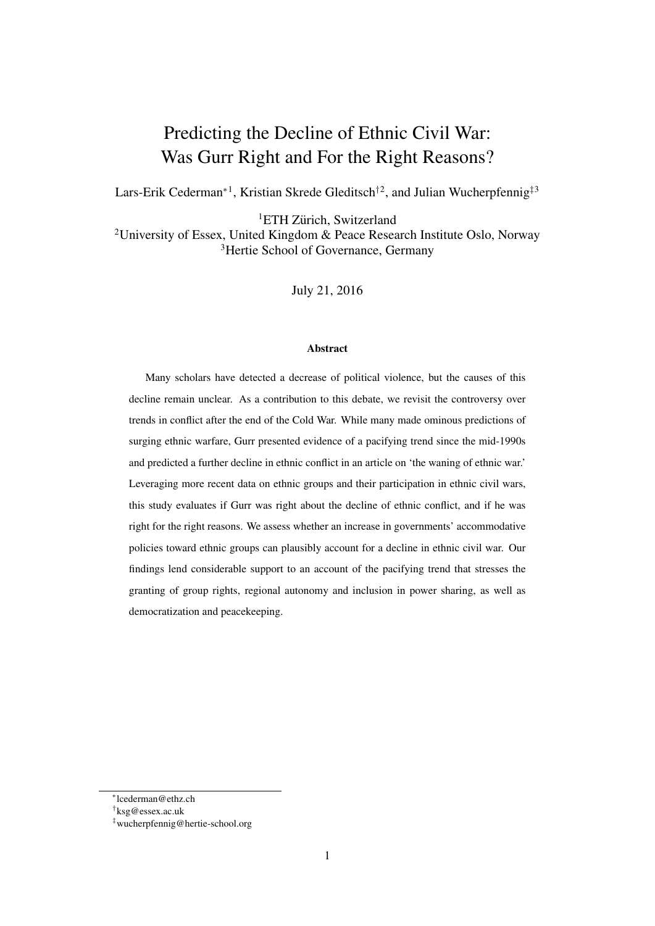# Predicting the Decline of Ethnic Civil War: Was Gurr Right and For the Right Reasons?

Lars-Erik Cederman<sup>∗1</sup>, Kristian Skrede Gleditsch<sup>†2</sup>, and Julian Wucherpfennig<sup>‡3</sup>

<sup>1</sup>ETH Zürich, Switzerland

<sup>2</sup>University of Essex, United Kingdom  $\&$  Peace Research Institute Oslo, Norway <sup>3</sup>Hertie School of Governance, Germany

July 21, 2016

#### Abstract

Many scholars have detected a decrease of political violence, but the causes of this decline remain unclear. As a contribution to this debate, we revisit the controversy over trends in conflict after the end of the Cold War. While many made ominous predictions of surging ethnic warfare, Gurr presented evidence of a pacifying trend since the mid-1990s and predicted a further decline in ethnic conflict in an article on 'the waning of ethnic war.' Leveraging more recent data on ethnic groups and their participation in ethnic civil wars, this study evaluates if Gurr was right about the decline of ethnic conflict, and if he was right for the right reasons. We assess whether an increase in governments' accommodative policies toward ethnic groups can plausibly account for a decline in ethnic civil war. Our findings lend considerable support to an account of the pacifying trend that stresses the granting of group rights, regional autonomy and inclusion in power sharing, as well as democratization and peacekeeping.

<sup>∗</sup> lcederman@ethz.ch

<sup>†</sup> ksg@essex.ac.uk

<sup>‡</sup>wucherpfennig@hertie-school.org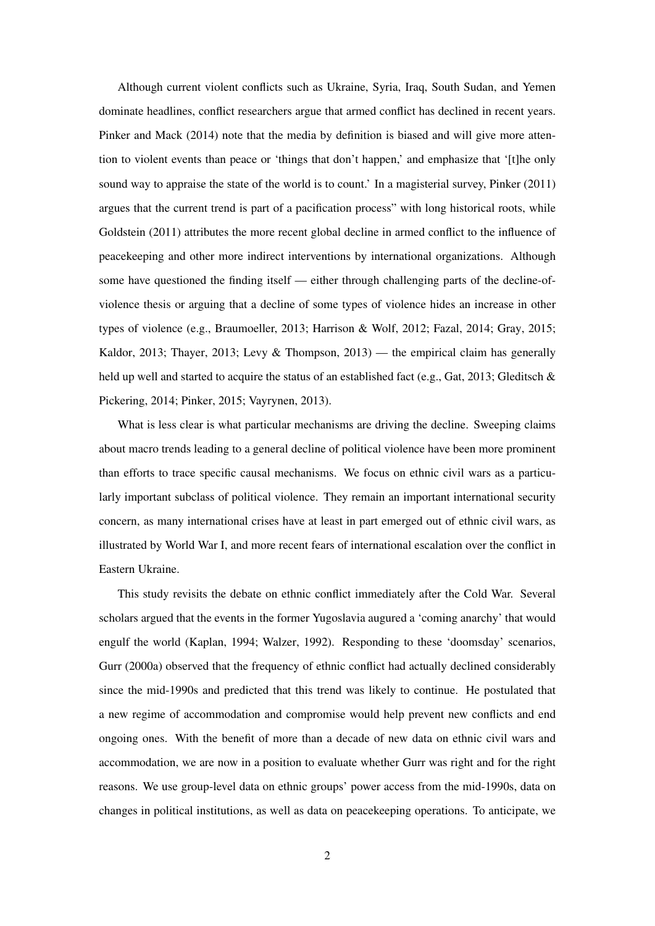Although current violent conflicts such as Ukraine, Syria, Iraq, South Sudan, and Yemen dominate headlines, conflict researchers argue that armed conflict has declined in recent years. Pinker and Mack (2014) note that the media by definition is biased and will give more attention to violent events than peace or 'things that don't happen,' and emphasize that '[t]he only sound way to appraise the state of the world is to count.' In a magisterial survey, Pinker (2011) argues that the current trend is part of a pacification process" with long historical roots, while Goldstein (2011) attributes the more recent global decline in armed conflict to the influence of peacekeeping and other more indirect interventions by international organizations. Although some have questioned the finding itself — either through challenging parts of the decline-ofviolence thesis or arguing that a decline of some types of violence hides an increase in other types of violence (e.g., Braumoeller, 2013; Harrison & Wolf, 2012; Fazal, 2014; Gray, 2015; Kaldor, 2013; Thayer, 2013; Levy & Thompson, 2013) — the empirical claim has generally held up well and started to acquire the status of an established fact (e.g., Gat, 2013; Gleditsch & Pickering, 2014; Pinker, 2015; Vayrynen, 2013).

What is less clear is what particular mechanisms are driving the decline. Sweeping claims about macro trends leading to a general decline of political violence have been more prominent than efforts to trace specific causal mechanisms. We focus on ethnic civil wars as a particularly important subclass of political violence. They remain an important international security concern, as many international crises have at least in part emerged out of ethnic civil wars, as illustrated by World War I, and more recent fears of international escalation over the conflict in Eastern Ukraine.

This study revisits the debate on ethnic conflict immediately after the Cold War. Several scholars argued that the events in the former Yugoslavia augured a 'coming anarchy' that would engulf the world (Kaplan, 1994; Walzer, 1992). Responding to these 'doomsday' scenarios, Gurr (2000a) observed that the frequency of ethnic conflict had actually declined considerably since the mid-1990s and predicted that this trend was likely to continue. He postulated that a new regime of accommodation and compromise would help prevent new conflicts and end ongoing ones. With the benefit of more than a decade of new data on ethnic civil wars and accommodation, we are now in a position to evaluate whether Gurr was right and for the right reasons. We use group-level data on ethnic groups' power access from the mid-1990s, data on changes in political institutions, as well as data on peacekeeping operations. To anticipate, we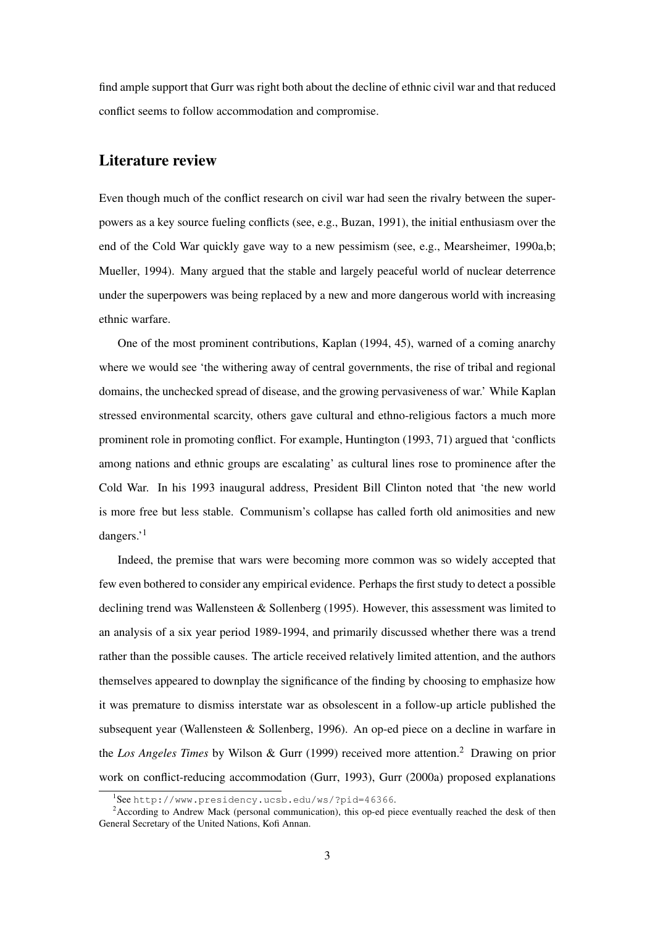find ample support that Gurr was right both about the decline of ethnic civil war and that reduced conflict seems to follow accommodation and compromise.

# Literature review

Even though much of the conflict research on civil war had seen the rivalry between the superpowers as a key source fueling conflicts (see, e.g., Buzan, 1991), the initial enthusiasm over the end of the Cold War quickly gave way to a new pessimism (see, e.g., Mearsheimer, 1990a,b; Mueller, 1994). Many argued that the stable and largely peaceful world of nuclear deterrence under the superpowers was being replaced by a new and more dangerous world with increasing ethnic warfare.

One of the most prominent contributions, Kaplan (1994, 45), warned of a coming anarchy where we would see 'the withering away of central governments, the rise of tribal and regional domains, the unchecked spread of disease, and the growing pervasiveness of war.' While Kaplan stressed environmental scarcity, others gave cultural and ethno-religious factors a much more prominent role in promoting conflict. For example, Huntington (1993, 71) argued that 'conflicts among nations and ethnic groups are escalating' as cultural lines rose to prominence after the Cold War. In his 1993 inaugural address, President Bill Clinton noted that 'the new world is more free but less stable. Communism's collapse has called forth old animosities and new dangers.'<sup>1</sup>

Indeed, the premise that wars were becoming more common was so widely accepted that few even bothered to consider any empirical evidence. Perhaps the first study to detect a possible declining trend was Wallensteen & Sollenberg (1995). However, this assessment was limited to an analysis of a six year period 1989-1994, and primarily discussed whether there was a trend rather than the possible causes. The article received relatively limited attention, and the authors themselves appeared to downplay the significance of the finding by choosing to emphasize how it was premature to dismiss interstate war as obsolescent in a follow-up article published the subsequent year (Wallensteen & Sollenberg, 1996). An op-ed piece on a decline in warfare in the *Los Angeles Times* by Wilson & Gurr (1999) received more attention.<sup>2</sup> Drawing on prior work on conflict-reducing accommodation (Gurr, 1993), Gurr (2000a) proposed explanations

<sup>1</sup> See http://www.presidency.ucsb.edu/ws/?pid=46366.

<sup>&</sup>lt;sup>2</sup>According to Andrew Mack (personal communication), this op-ed piece eventually reached the desk of then General Secretary of the United Nations, Kofi Annan.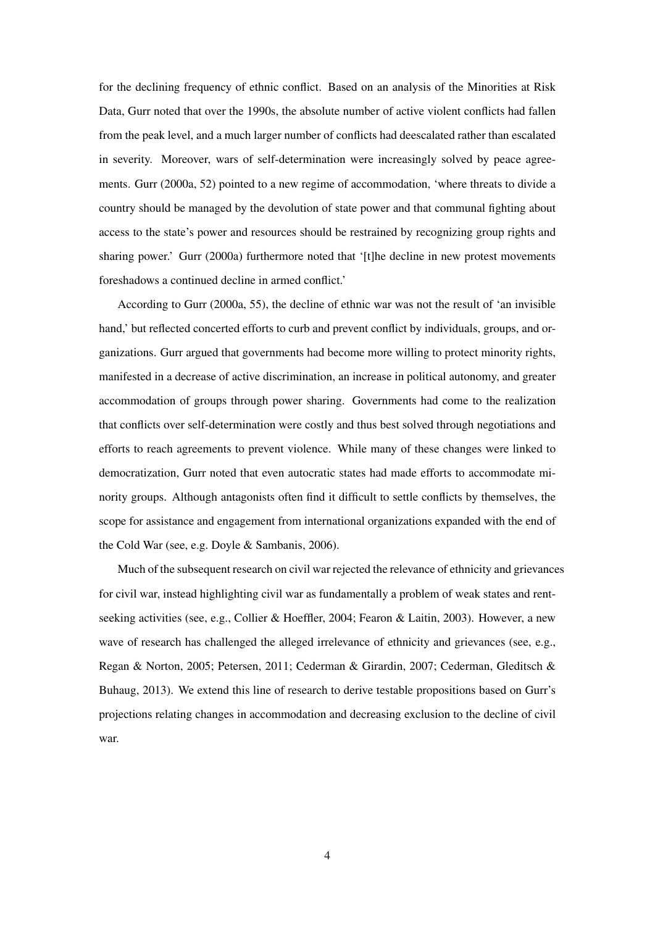for the declining frequency of ethnic conflict. Based on an analysis of the Minorities at Risk Data, Gurr noted that over the 1990s, the absolute number of active violent conflicts had fallen from the peak level, and a much larger number of conflicts had deescalated rather than escalated in severity. Moreover, wars of self-determination were increasingly solved by peace agreements. Gurr (2000a, 52) pointed to a new regime of accommodation, 'where threats to divide a country should be managed by the devolution of state power and that communal fighting about access to the state's power and resources should be restrained by recognizing group rights and sharing power.' Gurr (2000a) furthermore noted that '[t]he decline in new protest movements foreshadows a continued decline in armed conflict.'

According to Gurr (2000a, 55), the decline of ethnic war was not the result of 'an invisible hand,' but reflected concerted efforts to curb and prevent conflict by individuals, groups, and organizations. Gurr argued that governments had become more willing to protect minority rights, manifested in a decrease of active discrimination, an increase in political autonomy, and greater accommodation of groups through power sharing. Governments had come to the realization that conflicts over self-determination were costly and thus best solved through negotiations and efforts to reach agreements to prevent violence. While many of these changes were linked to democratization, Gurr noted that even autocratic states had made efforts to accommodate minority groups. Although antagonists often find it difficult to settle conflicts by themselves, the scope for assistance and engagement from international organizations expanded with the end of the Cold War (see, e.g. Doyle & Sambanis, 2006).

Much of the subsequent research on civil war rejected the relevance of ethnicity and grievances for civil war, instead highlighting civil war as fundamentally a problem of weak states and rentseeking activities (see, e.g., Collier & Hoeffler, 2004; Fearon & Laitin, 2003). However, a new wave of research has challenged the alleged irrelevance of ethnicity and grievances (see, e.g., Regan & Norton, 2005; Petersen, 2011; Cederman & Girardin, 2007; Cederman, Gleditsch & Buhaug, 2013). We extend this line of research to derive testable propositions based on Gurr's projections relating changes in accommodation and decreasing exclusion to the decline of civil war.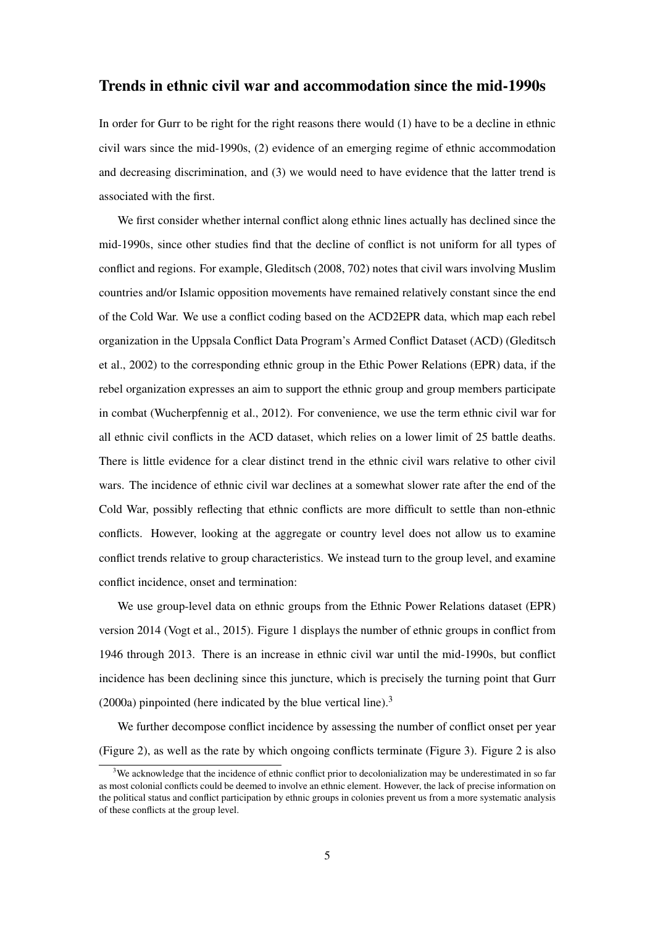### Trends in ethnic civil war and accommodation since the mid-1990s

In order for Gurr to be right for the right reasons there would (1) have to be a decline in ethnic civil wars since the mid-1990s, (2) evidence of an emerging regime of ethnic accommodation and decreasing discrimination, and (3) we would need to have evidence that the latter trend is associated with the first.

We first consider whether internal conflict along ethnic lines actually has declined since the mid-1990s, since other studies find that the decline of conflict is not uniform for all types of conflict and regions. For example, Gleditsch (2008, 702) notes that civil wars involving Muslim countries and/or Islamic opposition movements have remained relatively constant since the end of the Cold War. We use a conflict coding based on the ACD2EPR data, which map each rebel organization in the Uppsala Conflict Data Program's Armed Conflict Dataset (ACD) (Gleditsch et al., 2002) to the corresponding ethnic group in the Ethic Power Relations (EPR) data, if the rebel organization expresses an aim to support the ethnic group and group members participate in combat (Wucherpfennig et al., 2012). For convenience, we use the term ethnic civil war for all ethnic civil conflicts in the ACD dataset, which relies on a lower limit of 25 battle deaths. There is little evidence for a clear distinct trend in the ethnic civil wars relative to other civil wars. The incidence of ethnic civil war declines at a somewhat slower rate after the end of the Cold War, possibly reflecting that ethnic conflicts are more difficult to settle than non-ethnic conflicts. However, looking at the aggregate or country level does not allow us to examine conflict trends relative to group characteristics. We instead turn to the group level, and examine conflict incidence, onset and termination:

We use group-level data on ethnic groups from the Ethnic Power Relations dataset (EPR) version 2014 (Vogt et al., 2015). Figure 1 displays the number of ethnic groups in conflict from 1946 through 2013. There is an increase in ethnic civil war until the mid-1990s, but conflict incidence has been declining since this juncture, which is precisely the turning point that Gurr  $(2000a)$  pinpointed (here indicated by the blue vertical line).<sup>3</sup>

We further decompose conflict incidence by assessing the number of conflict onset per year (Figure 2), as well as the rate by which ongoing conflicts terminate (Figure 3). Figure 2 is also

 $3$ We acknowledge that the incidence of ethnic conflict prior to decolonialization may be underestimated in so far as most colonial conflicts could be deemed to involve an ethnic element. However, the lack of precise information on the political status and conflict participation by ethnic groups in colonies prevent us from a more systematic analysis of these conflicts at the group level.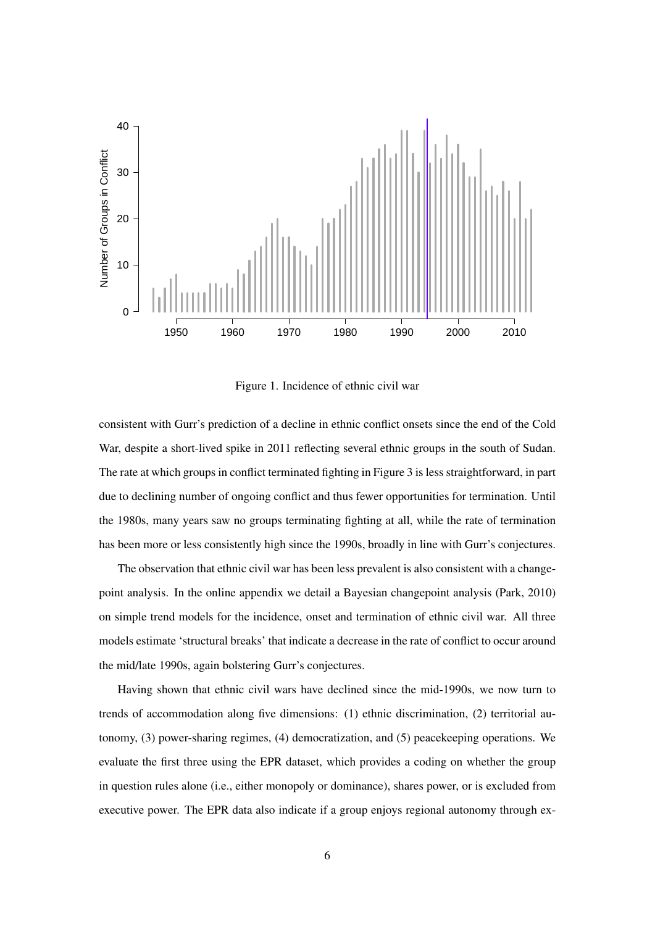

Figure 1. Incidence of ethnic civil war

consistent with Gurr's prediction of a decline in ethnic conflict onsets since the end of the Cold War, despite a short-lived spike in 2011 reflecting several ethnic groups in the south of Sudan. The rate at which groups in conflict terminated fighting in Figure 3 is less straightforward, in part due to declining number of ongoing conflict and thus fewer opportunities for termination. Until the 1980s, many years saw no groups terminating fighting at all, while the rate of termination has been more or less consistently high since the 1990s, broadly in line with Gurr's conjectures.

The observation that ethnic civil war has been less prevalent is also consistent with a changepoint analysis. In the online appendix we detail a Bayesian changepoint analysis (Park, 2010) on simple trend models for the incidence, onset and termination of ethnic civil war. All three models estimate 'structural breaks' that indicate a decrease in the rate of conflict to occur around the mid/late 1990s, again bolstering Gurr's conjectures.

Having shown that ethnic civil wars have declined since the mid-1990s, we now turn to trends of accommodation along five dimensions: (1) ethnic discrimination, (2) territorial autonomy, (3) power-sharing regimes, (4) democratization, and (5) peacekeeping operations. We evaluate the first three using the EPR dataset, which provides a coding on whether the group in question rules alone (i.e., either monopoly or dominance), shares power, or is excluded from executive power. The EPR data also indicate if a group enjoys regional autonomy through ex-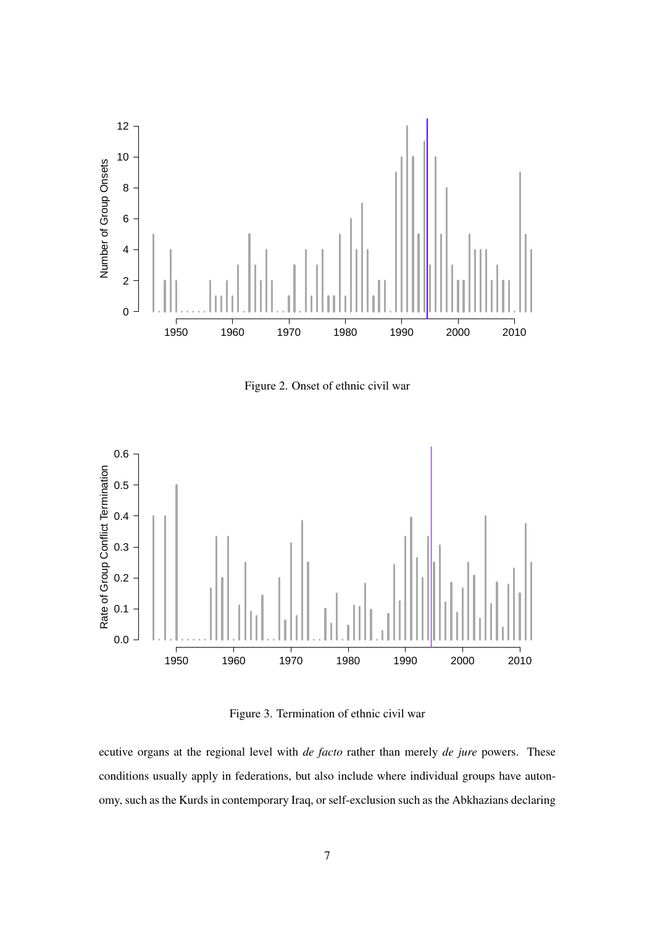

Figure 2. Onset of ethnic civil war



Figure 3. Termination of ethnic civil war

ecutive organs at the regional level with *de facto* rather than merely *de jure* powers. These conditions usually apply in federations, but also include where individual groups have autonomy, such as the Kurds in contemporary Iraq, or self-exclusion such as the Abkhazians declaring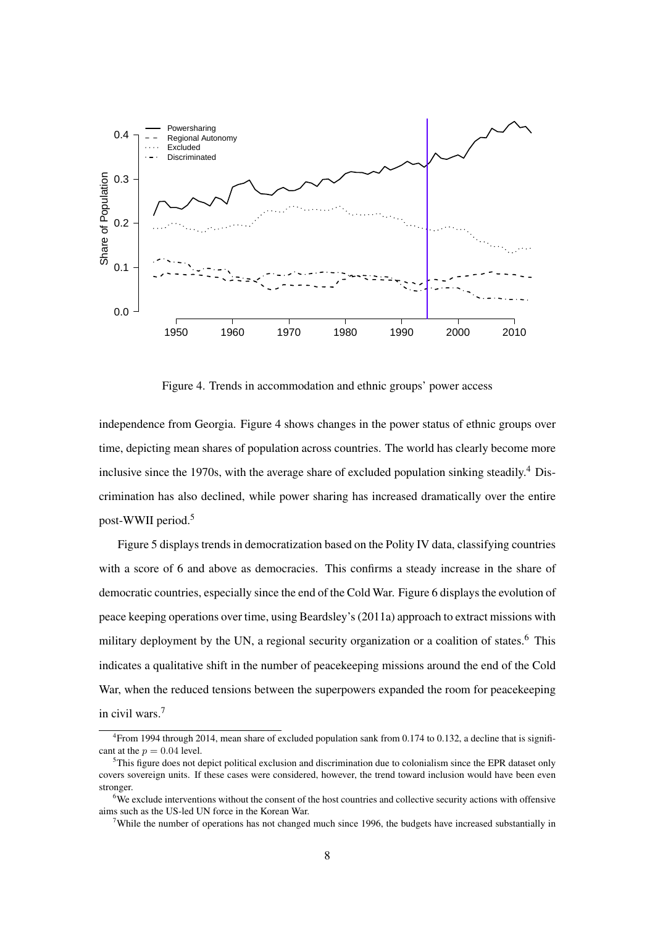

Figure 4. Trends in accommodation and ethnic groups' power access

independence from Georgia. Figure 4 shows changes in the power status of ethnic groups over time, depicting mean shares of population across countries. The world has clearly become more inclusive since the 1970s, with the average share of excluded population sinking steadily.<sup>4</sup> Discrimination has also declined, while power sharing has increased dramatically over the entire post-WWII period.<sup>5</sup>

Figure 5 displays trends in democratization based on the Polity IV data, classifying countries with a score of 6 and above as democracies. This confirms a steady increase in the share of democratic countries, especially since the end of the Cold War. Figure 6 displays the evolution of peace keeping operations over time, using Beardsley's (2011a) approach to extract missions with military deployment by the UN, a regional security organization or a coalition of states.<sup>6</sup> This indicates a qualitative shift in the number of peacekeeping missions around the end of the Cold War, when the reduced tensions between the superpowers expanded the room for peacekeeping in civil wars.<sup>7</sup>

<sup>4</sup> From 1994 through 2014, mean share of excluded population sank from 0.174 to 0.132, a decline that is significant at the  $p = 0.04$  level.

 $<sup>5</sup>$ This figure does not depict political exclusion and discrimination due to colonialism since the EPR dataset only</sup> covers sovereign units. If these cases were considered, however, the trend toward inclusion would have been even stronger.

<sup>&</sup>lt;sup>6</sup>We exclude interventions without the consent of the host countries and collective security actions with offensive aims such as the US-led UN force in the Korean War.

<sup>&</sup>lt;sup>7</sup>While the number of operations has not changed much since 1996, the budgets have increased substantially in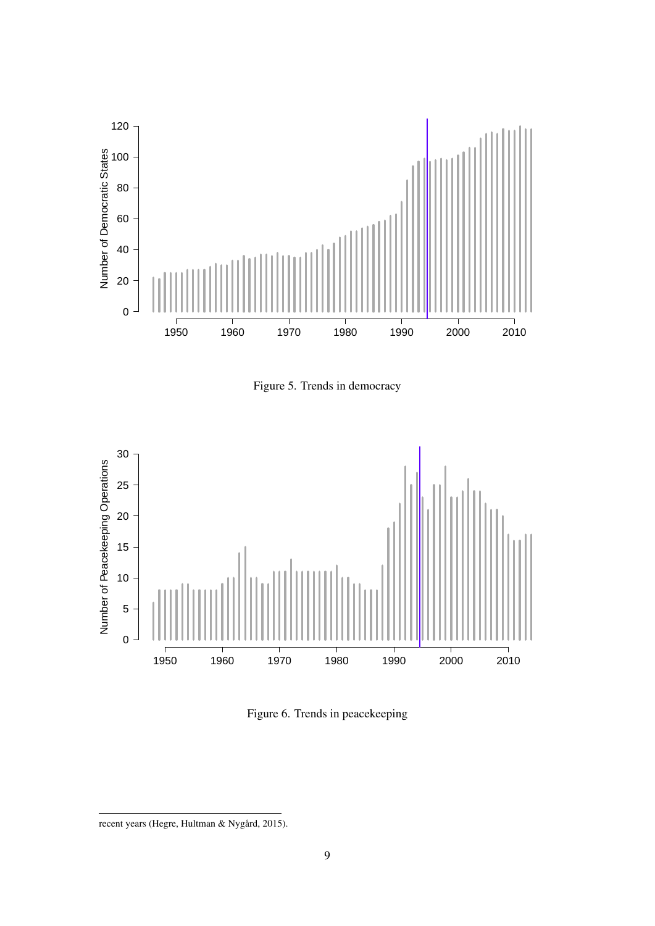

Figure 5. Trends in democracy



Figure 6. Trends in peacekeeping

recent years (Hegre, Hultman & Nygård, 2015).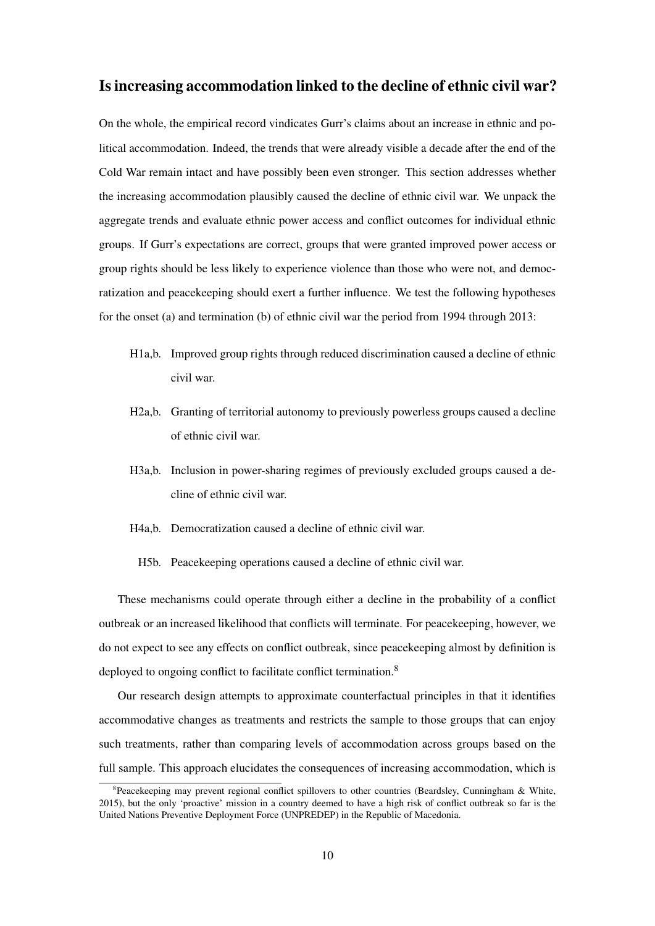# Is increasing accommodation linked to the decline of ethnic civil war?

On the whole, the empirical record vindicates Gurr's claims about an increase in ethnic and political accommodation. Indeed, the trends that were already visible a decade after the end of the Cold War remain intact and have possibly been even stronger. This section addresses whether the increasing accommodation plausibly caused the decline of ethnic civil war. We unpack the aggregate trends and evaluate ethnic power access and conflict outcomes for individual ethnic groups. If Gurr's expectations are correct, groups that were granted improved power access or group rights should be less likely to experience violence than those who were not, and democratization and peacekeeping should exert a further influence. We test the following hypotheses for the onset (a) and termination (b) of ethnic civil war the period from 1994 through 2013:

- H1a,b. Improved group rights through reduced discrimination caused a decline of ethnic civil war.
- H2a,b. Granting of territorial autonomy to previously powerless groups caused a decline of ethnic civil war.
- H3a,b. Inclusion in power-sharing regimes of previously excluded groups caused a decline of ethnic civil war.
- H4a,b. Democratization caused a decline of ethnic civil war.
	- H5b. Peacekeeping operations caused a decline of ethnic civil war.

These mechanisms could operate through either a decline in the probability of a conflict outbreak or an increased likelihood that conflicts will terminate. For peacekeeping, however, we do not expect to see any effects on conflict outbreak, since peacekeeping almost by definition is deployed to ongoing conflict to facilitate conflict termination.<sup>8</sup>

Our research design attempts to approximate counterfactual principles in that it identifies accommodative changes as treatments and restricts the sample to those groups that can enjoy such treatments, rather than comparing levels of accommodation across groups based on the full sample. This approach elucidates the consequences of increasing accommodation, which is

<sup>&</sup>lt;sup>8</sup>Peacekeeping may prevent regional conflict spillovers to other countries (Beardsley, Cunningham & White, 2015), but the only 'proactive' mission in a country deemed to have a high risk of conflict outbreak so far is the United Nations Preventive Deployment Force (UNPREDEP) in the Republic of Macedonia.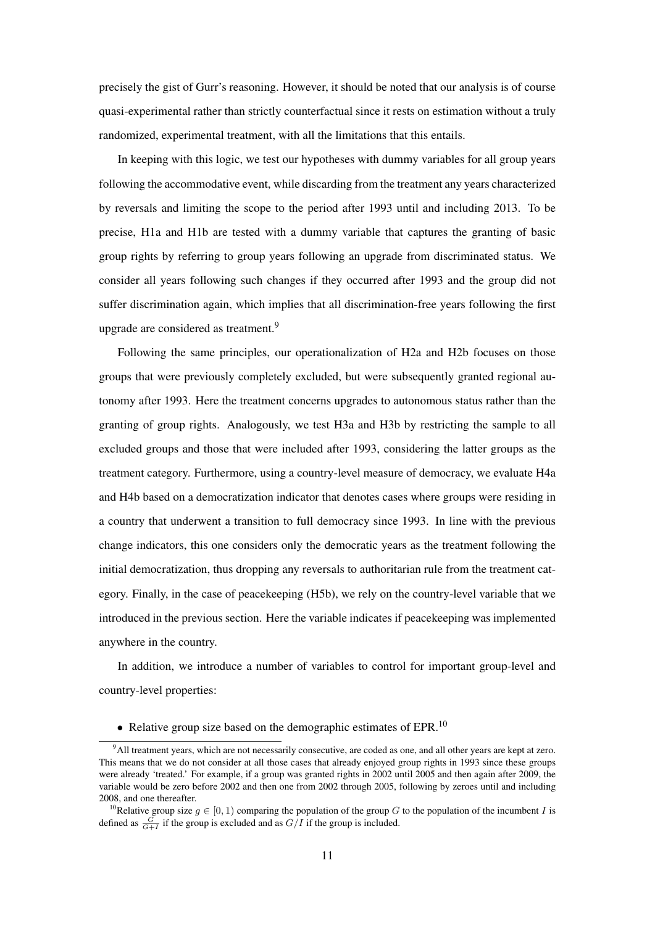precisely the gist of Gurr's reasoning. However, it should be noted that our analysis is of course quasi-experimental rather than strictly counterfactual since it rests on estimation without a truly randomized, experimental treatment, with all the limitations that this entails.

In keeping with this logic, we test our hypotheses with dummy variables for all group years following the accommodative event, while discarding from the treatment any years characterized by reversals and limiting the scope to the period after 1993 until and including 2013. To be precise, H1a and H1b are tested with a dummy variable that captures the granting of basic group rights by referring to group years following an upgrade from discriminated status. We consider all years following such changes if they occurred after 1993 and the group did not suffer discrimination again, which implies that all discrimination-free years following the first upgrade are considered as treatment.<sup>9</sup>

Following the same principles, our operationalization of H2a and H2b focuses on those groups that were previously completely excluded, but were subsequently granted regional autonomy after 1993. Here the treatment concerns upgrades to autonomous status rather than the granting of group rights. Analogously, we test H3a and H3b by restricting the sample to all excluded groups and those that were included after 1993, considering the latter groups as the treatment category. Furthermore, using a country-level measure of democracy, we evaluate H4a and H4b based on a democratization indicator that denotes cases where groups were residing in a country that underwent a transition to full democracy since 1993. In line with the previous change indicators, this one considers only the democratic years as the treatment following the initial democratization, thus dropping any reversals to authoritarian rule from the treatment category. Finally, in the case of peacekeeping (H5b), we rely on the country-level variable that we introduced in the previous section. Here the variable indicates if peacekeeping was implemented anywhere in the country.

In addition, we introduce a number of variables to control for important group-level and country-level properties:

• Relative group size based on the demographic estimates of EPR.<sup>10</sup>

<sup>9</sup>All treatment years, which are not necessarily consecutive, are coded as one, and all other years are kept at zero. This means that we do not consider at all those cases that already enjoyed group rights in 1993 since these groups were already 'treated.' For example, if a group was granted rights in 2002 until 2005 and then again after 2009, the variable would be zero before 2002 and then one from 2002 through 2005, following by zeroes until and including 2008, and one thereafter.

<sup>&</sup>lt;sup>10</sup>Relative group size  $g \in [0, 1)$  comparing the population of the group G to the population of the incumbent I is defined as  $\frac{G}{G+I}$  if the group is excluded and as  $G/I$  if the group is included.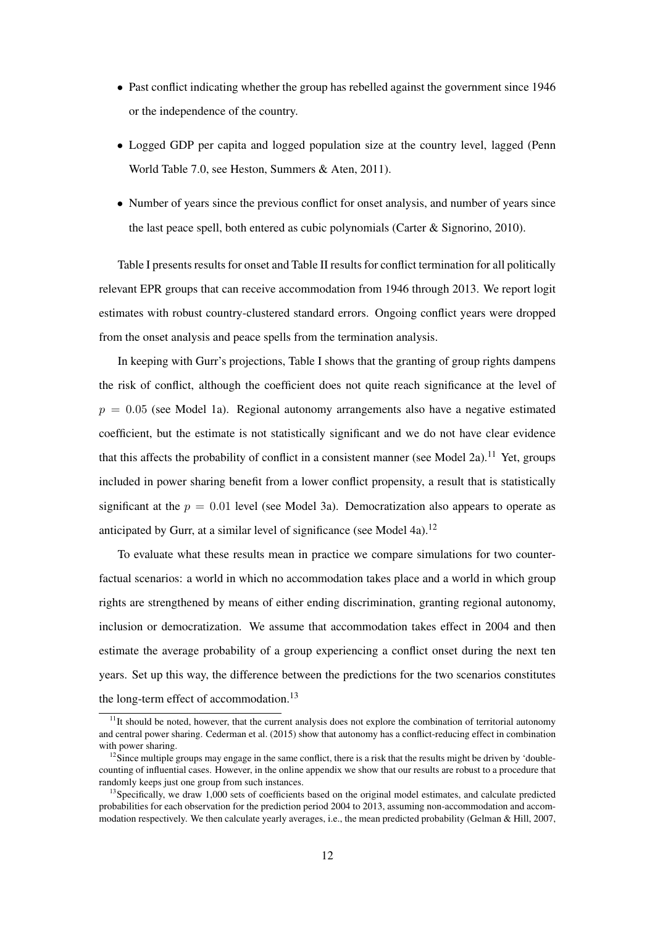- Past conflict indicating whether the group has rebelled against the government since 1946 or the independence of the country.
- Logged GDP per capita and logged population size at the country level, lagged (Penn World Table 7.0, see Heston, Summers & Aten, 2011).
- Number of years since the previous conflict for onset analysis, and number of years since the last peace spell, both entered as cubic polynomials (Carter & Signorino, 2010).

Table I presents results for onset and Table II results for conflict termination for all politically relevant EPR groups that can receive accommodation from 1946 through 2013. We report logit estimates with robust country-clustered standard errors. Ongoing conflict years were dropped from the onset analysis and peace spells from the termination analysis.

In keeping with Gurr's projections, Table I shows that the granting of group rights dampens the risk of conflict, although the coefficient does not quite reach significance at the level of  $p = 0.05$  (see Model 1a). Regional autonomy arrangements also have a negative estimated coefficient, but the estimate is not statistically significant and we do not have clear evidence that this affects the probability of conflict in a consistent manner (see Model 2a).<sup>11</sup> Yet, groups included in power sharing benefit from a lower conflict propensity, a result that is statistically significant at the  $p = 0.01$  level (see Model 3a). Democratization also appears to operate as anticipated by Gurr, at a similar level of significance (see Model 4a).<sup>12</sup>

To evaluate what these results mean in practice we compare simulations for two counterfactual scenarios: a world in which no accommodation takes place and a world in which group rights are strengthened by means of either ending discrimination, granting regional autonomy, inclusion or democratization. We assume that accommodation takes effect in 2004 and then estimate the average probability of a group experiencing a conflict onset during the next ten years. Set up this way, the difference between the predictions for the two scenarios constitutes the long-term effect of accommodation.<sup>13</sup>

 $11$ It should be noted, however, that the current analysis does not explore the combination of territorial autonomy and central power sharing. Cederman et al. (2015) show that autonomy has a conflict-reducing effect in combination with power sharing.

 $12$ Since multiple groups may engage in the same conflict, there is a risk that the results might be driven by 'doublecounting of influential cases. However, in the online appendix we show that our results are robust to a procedure that randomly keeps just one group from such instances.

 $13$ Specifically, we draw 1,000 sets of coefficients based on the original model estimates, and calculate predicted probabilities for each observation for the prediction period 2004 to 2013, assuming non-accommodation and accommodation respectively. We then calculate yearly averages, i.e., the mean predicted probability (Gelman & Hill, 2007,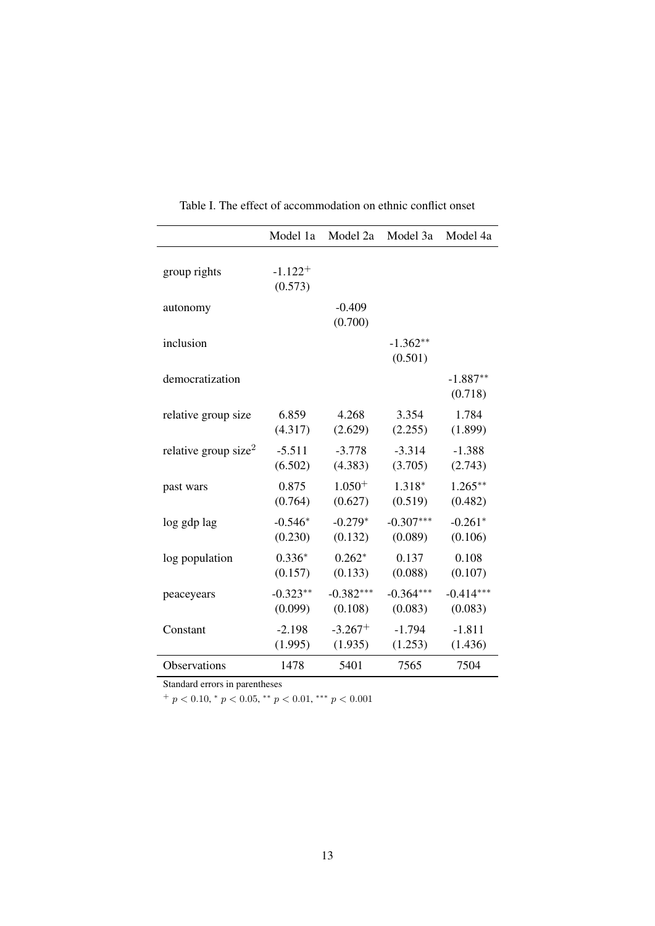|                                  | Model 1a                         | Model 2a            | Model 3a              | Model 4a              |
|----------------------------------|----------------------------------|---------------------|-----------------------|-----------------------|
| group rights                     | $-1.122$ <sup>+</sup><br>(0.573) |                     |                       |                       |
| autonomy                         |                                  | $-0.409$<br>(0.700) |                       |                       |
| inclusion                        |                                  |                     | $-1.362**$<br>(0.501) |                       |
| democratization                  |                                  |                     |                       | $-1.887**$<br>(0.718) |
| relative group size              | 6.859                            | 4.268               | 3.354                 | 1.784                 |
|                                  | (4.317)                          | (2.629)             | (2.255)               | (1.899)               |
| relative group size <sup>2</sup> | $-5.511$                         | $-3.778$            | $-3.314$              | $-1.388$              |
|                                  | (6.502)                          | (4.383)             | (3.705)               | (2.743)               |
| past wars                        | 0.875                            | $1.050^{+}$         | 1.318*                | $1.265***$            |
|                                  | (0.764)                          | (0.627)             | (0.519)               | (0.482)               |
| log gdp lag                      | $-0.546*$                        | $-0.279*$           | $-0.307***$           | $-0.261*$             |
|                                  | (0.230)                          | (0.132)             | (0.089)               | (0.106)               |
| log population                   | $0.336*$                         | $0.262*$            | 0.137                 | 0.108                 |
|                                  | (0.157)                          | (0.133)             | (0.088)               | (0.107)               |
| peaceyears                       | $-0.323**$                       | $-0.382***$         | $-0.364***$           | $-0.414***$           |
|                                  | (0.099)                          | (0.108)             | (0.083)               | (0.083)               |
| Constant                         | $-2.198$                         | $-3.267+$           | $-1.794$              | $-1.811$              |
|                                  | (1.995)                          | (1.935)             | (1.253)               | (1.436)               |
| Observations                     | 1478                             | 5401                | 7565                  | 7504                  |

Table I. The effect of accommodation on ethnic conflict onset

Standard errors in parentheses

 $^{+}$  p < 0.10,  $^{*}$  p < 0.05,  $^{**}$  p < 0.01,  $^{***}$  p < 0.001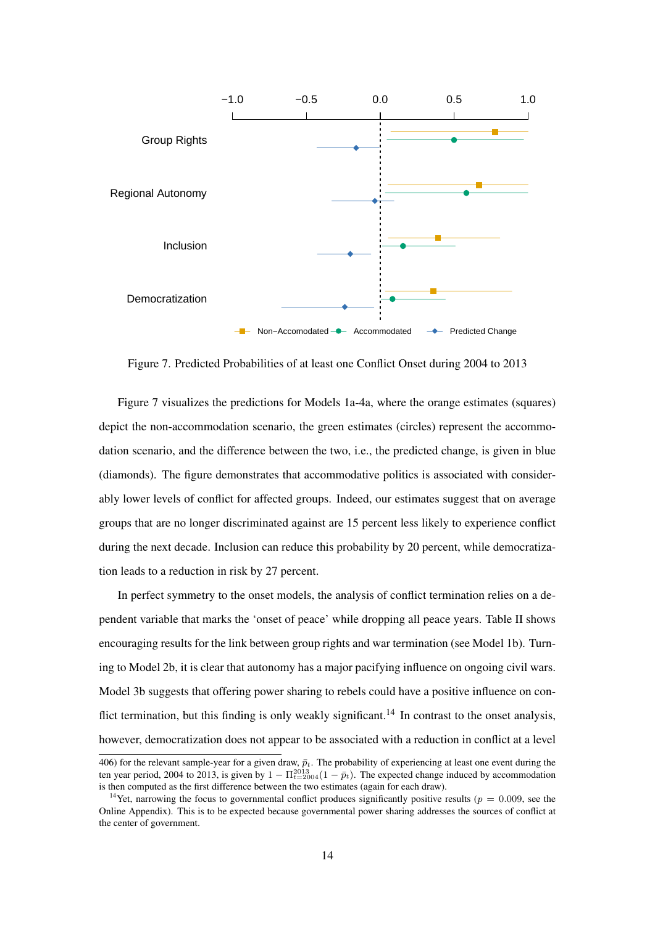

Figure 7. Predicted Probabilities of at least one Conflict Onset during 2004 to 2013

Figure 7 visualizes the predictions for Models 1a-4a, where the orange estimates (squares) depict the non-accommodation scenario, the green estimates (circles) represent the accommodation scenario, and the difference between the two, i.e., the predicted change, is given in blue (diamonds). The figure demonstrates that accommodative politics is associated with considerably lower levels of conflict for affected groups. Indeed, our estimates suggest that on average groups that are no longer discriminated against are 15 percent less likely to experience conflict during the next decade. Inclusion can reduce this probability by 20 percent, while democratization leads to a reduction in risk by 27 percent.

In perfect symmetry to the onset models, the analysis of conflict termination relies on a dependent variable that marks the 'onset of peace' while dropping all peace years. Table II shows encouraging results for the link between group rights and war termination (see Model 1b). Turning to Model 2b, it is clear that autonomy has a major pacifying influence on ongoing civil wars. Model 3b suggests that offering power sharing to rebels could have a positive influence on conflict termination, but this finding is only weakly significant.<sup>14</sup> In contrast to the onset analysis, however, democratization does not appear to be associated with a reduction in conflict at a level

<sup>406)</sup> for the relevant sample-year for a given draw,  $\bar{p}_t$ . The probability of experiencing at least one event during the ten year period, 2004 to 2013, is given by  $1 - \Pi_{t=2004}^{2013}(1 - \bar{p}_t)$ . The expected change induced by accommodation is then computed as the first difference between the two estimates (again for each draw).

<sup>&</sup>lt;sup>14</sup>Yet, narrowing the focus to governmental conflict produces significantly positive results ( $p = 0.009$ , see the Online Appendix). This is to be expected because governmental power sharing addresses the sources of conflict at the center of government.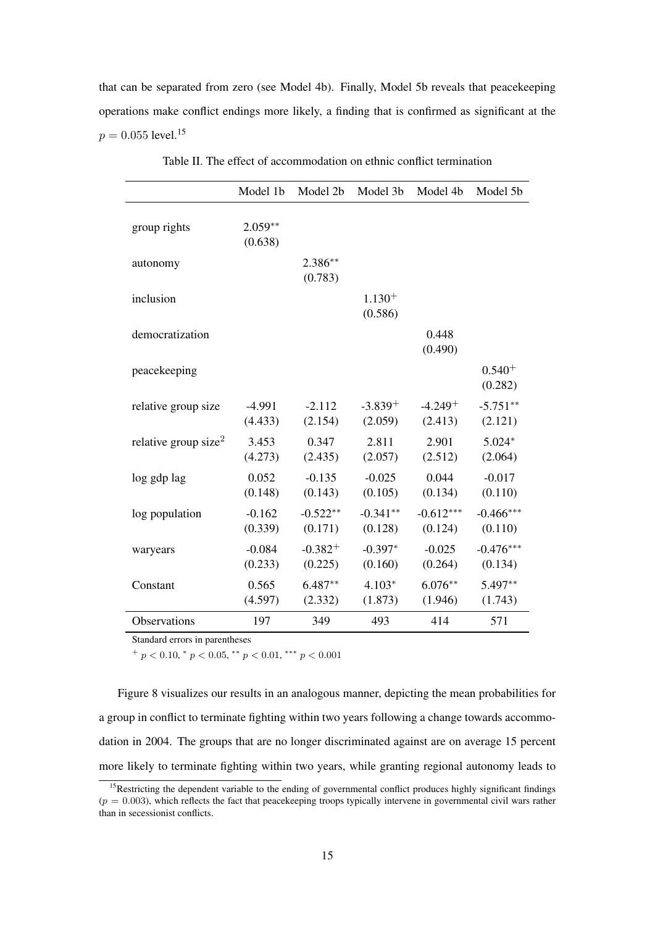that can be separated from zero (see Model 4b). Finally, Model 5b reveals that peacekeeping operations make conflict endings more likely, a finding that is confirmed as significant at the  $p = 0.055$  level.<sup>15</sup>

|                                  | Model 1b             | Model 2b                | Model 3b               | Model 4b               | Model 5b               |
|----------------------------------|----------------------|-------------------------|------------------------|------------------------|------------------------|
| group rights                     | $2.059**$<br>(0.638) |                         |                        |                        |                        |
| autonomy                         |                      | 2.386**<br>(0.783)      |                        |                        |                        |
| inclusion                        |                      |                         | $1.130^{+}$<br>(0.586) |                        |                        |
| democratization                  |                      |                         |                        | 0.448<br>(0.490)       |                        |
| peacekeeping                     |                      |                         |                        |                        | $0.540^{+}$<br>(0.282) |
| relative group size              | $-4.991$<br>(4.433)  | $-2.112$<br>(2.154)     | $-3.839+$<br>(2.059)   | $-4.249+$<br>(2.413)   | $-5.751**$<br>(2.121)  |
| relative group size <sup>2</sup> | 3.453<br>(4.273)     | 0.347<br>(2.435)        | 2.811<br>(2.057)       | 2.901<br>(2.512)       | $5.024*$<br>(2.064)    |
| log gdp lag                      | 0.052<br>(0.148)     | $-0.135$<br>(0.143)     | $-0.025$<br>(0.105)    | 0.044<br>(0.134)       | $-0.017$<br>(0.110)    |
| log population                   | $-0.162$<br>(0.339)  | $-0.522**$<br>(0.171)   | $-0.341**$<br>(0.128)  | $-0.612***$<br>(0.124) | $-0.466***$<br>(0.110) |
| waryears                         | $-0.084$<br>(0.233)  | $-0.382^{+}$<br>(0.225) | $-0.397*$<br>(0.160)   | $-0.025$<br>(0.264)    | $-0.476***$<br>(0.134) |
| Constant                         | 0.565<br>(4.597)     | $6.487**$<br>(2.332)    | $4.103*$<br>(1.873)    | $6.076**$<br>(1.946)   | $5.497**$<br>(1.743)   |
| Observations                     | 197                  | 349                     | 493                    | 414                    | 571                    |

Table II. The effect of accommodation on ethnic conflict termination

Standard errors in parentheses

 $^{+}$  p < 0.10,  $^{*}$  p < 0.05,  $^{**}$  p < 0.01,  $^{***}$  p < 0.001

Figure 8 visualizes our results in an analogous manner, depicting the mean probabilities for a group in conflict to terminate fighting within two years following a change towards accommodation in 2004. The groups that are no longer discriminated against are on average 15 percent more likely to terminate fighting within two years, while granting regional autonomy leads to

<sup>&</sup>lt;sup>15</sup>Restricting the dependent variable to the ending of governmental conflict produces highly significant findings  $(p = 0.003)$ , which reflects the fact that peacekeeping troops typically intervene in governmental civil wars rather than in secessionist conflicts.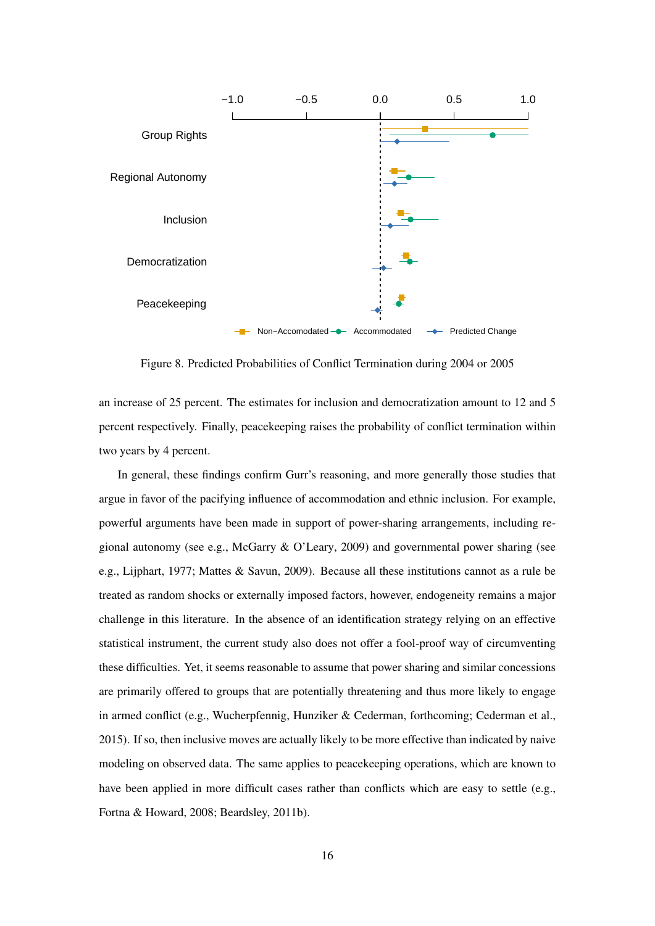

Figure 8. Predicted Probabilities of Conflict Termination during 2004 or 2005

an increase of 25 percent. The estimates for inclusion and democratization amount to 12 and 5 percent respectively. Finally, peacekeeping raises the probability of conflict termination within two years by 4 percent.

In general, these findings confirm Gurr's reasoning, and more generally those studies that argue in favor of the pacifying influence of accommodation and ethnic inclusion. For example, powerful arguments have been made in support of power-sharing arrangements, including regional autonomy (see e.g., McGarry & O'Leary, 2009) and governmental power sharing (see e.g., Lijphart, 1977; Mattes & Savun, 2009). Because all these institutions cannot as a rule be treated as random shocks or externally imposed factors, however, endogeneity remains a major challenge in this literature. In the absence of an identification strategy relying on an effective statistical instrument, the current study also does not offer a fool-proof way of circumventing these difficulties. Yet, it seems reasonable to assume that power sharing and similar concessions are primarily offered to groups that are potentially threatening and thus more likely to engage in armed conflict (e.g., Wucherpfennig, Hunziker & Cederman, forthcoming; Cederman et al., 2015). If so, then inclusive moves are actually likely to be more effective than indicated by naive modeling on observed data. The same applies to peacekeeping operations, which are known to have been applied in more difficult cases rather than conflicts which are easy to settle (e.g., Fortna & Howard, 2008; Beardsley, 2011b).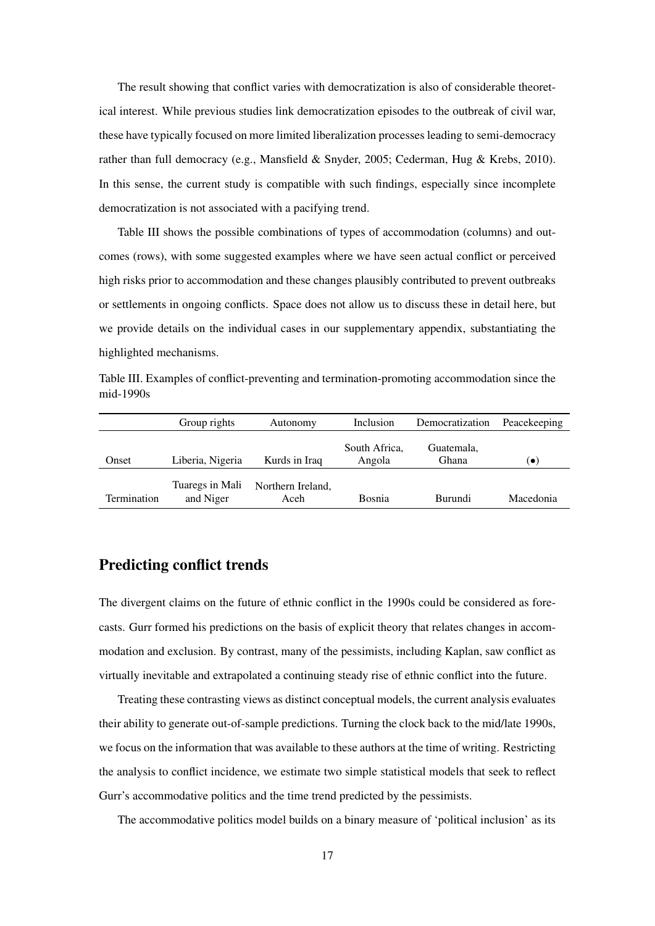The result showing that conflict varies with democratization is also of considerable theoretical interest. While previous studies link democratization episodes to the outbreak of civil war, these have typically focused on more limited liberalization processes leading to semi-democracy rather than full democracy (e.g., Mansfield & Snyder, 2005; Cederman, Hug & Krebs, 2010). In this sense, the current study is compatible with such findings, especially since incomplete democratization is not associated with a pacifying trend.

Table III shows the possible combinations of types of accommodation (columns) and outcomes (rows), with some suggested examples where we have seen actual conflict or perceived high risks prior to accommodation and these changes plausibly contributed to prevent outbreaks or settlements in ongoing conflicts. Space does not allow us to discuss these in detail here, but we provide details on the individual cases in our supplementary appendix, substantiating the highlighted mechanisms.

Table III. Examples of conflict-preventing and termination-promoting accommodation since the mid-1990s

|                    | Group rights                 | Autonomy                  | Inclusion               | Democratization     | Peacekeeping |
|--------------------|------------------------------|---------------------------|-------------------------|---------------------|--------------|
| Onset              | Liberia, Nigeria             | Kurds in Iraq             | South Africa.<br>Angola | Guatemala,<br>Ghana | $(\bullet)$  |
| <b>Termination</b> | Tuaregs in Mali<br>and Niger | Northern Ireland,<br>Aceh | <b>Bosnia</b>           | Burundi             | Macedonia    |

#### Predicting conflict trends

The divergent claims on the future of ethnic conflict in the 1990s could be considered as forecasts. Gurr formed his predictions on the basis of explicit theory that relates changes in accommodation and exclusion. By contrast, many of the pessimists, including Kaplan, saw conflict as virtually inevitable and extrapolated a continuing steady rise of ethnic conflict into the future.

Treating these contrasting views as distinct conceptual models, the current analysis evaluates their ability to generate out-of-sample predictions. Turning the clock back to the mid/late 1990s, we focus on the information that was available to these authors at the time of writing. Restricting the analysis to conflict incidence, we estimate two simple statistical models that seek to reflect Gurr's accommodative politics and the time trend predicted by the pessimists.

The accommodative politics model builds on a binary measure of 'political inclusion' as its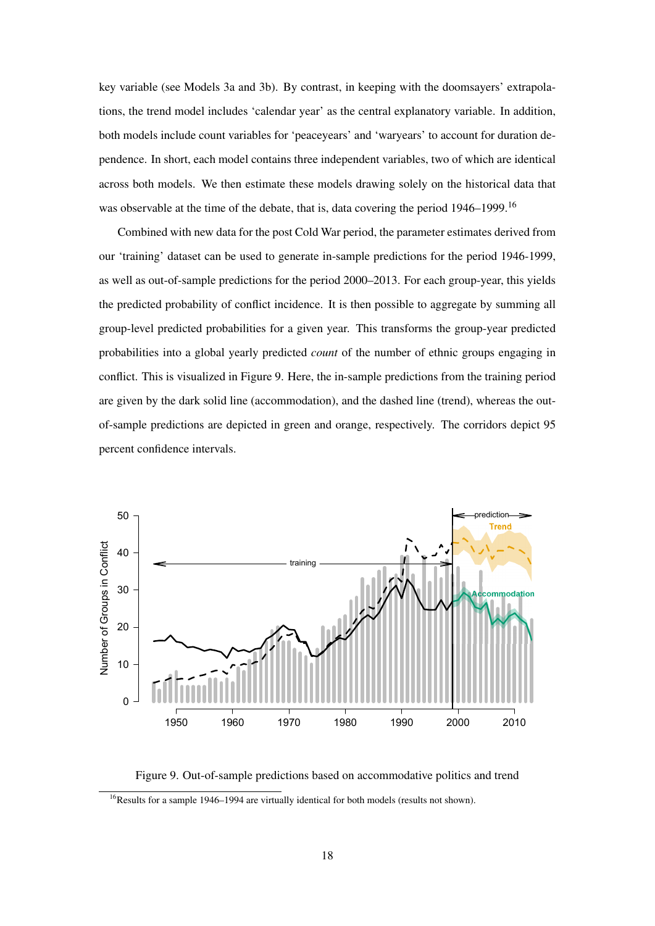key variable (see Models 3a and 3b). By contrast, in keeping with the doomsayers' extrapolations, the trend model includes 'calendar year' as the central explanatory variable. In addition, both models include count variables for 'peaceyears' and 'waryears' to account for duration dependence. In short, each model contains three independent variables, two of which are identical across both models. We then estimate these models drawing solely on the historical data that was observable at the time of the debate, that is, data covering the period 1946–1999.<sup>16</sup>

Combined with new data for the post Cold War period, the parameter estimates derived from our 'training' dataset can be used to generate in-sample predictions for the period 1946-1999, as well as out-of-sample predictions for the period 2000–2013. For each group-year, this yields the predicted probability of conflict incidence. It is then possible to aggregate by summing all group-level predicted probabilities for a given year. This transforms the group-year predicted probabilities into a global yearly predicted *count* of the number of ethnic groups engaging in conflict. This is visualized in Figure 9. Here, the in-sample predictions from the training period are given by the dark solid line (accommodation), and the dashed line (trend), whereas the outof-sample predictions are depicted in green and orange, respectively. The corridors depict 95 percent confidence intervals.



Figure 9. Out-of-sample predictions based on accommodative politics and trend

<sup>&</sup>lt;sup>16</sup>Results for a sample 1946–1994 are virtually identical for both models (results not shown).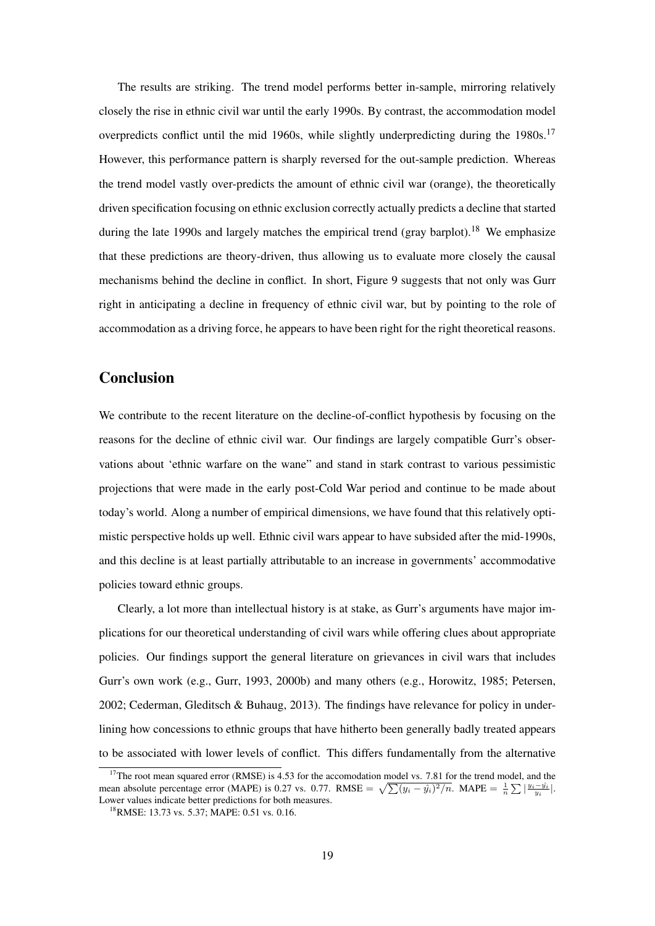The results are striking. The trend model performs better in-sample, mirroring relatively closely the rise in ethnic civil war until the early 1990s. By contrast, the accommodation model overpredicts conflict until the mid 1960s, while slightly underpredicting during the 1980s.<sup>17</sup> However, this performance pattern is sharply reversed for the out-sample prediction. Whereas the trend model vastly over-predicts the amount of ethnic civil war (orange), the theoretically driven specification focusing on ethnic exclusion correctly actually predicts a decline that started during the late 1990s and largely matches the empirical trend (gray barplot).<sup>18</sup> We emphasize that these predictions are theory-driven, thus allowing us to evaluate more closely the causal mechanisms behind the decline in conflict. In short, Figure 9 suggests that not only was Gurr right in anticipating a decline in frequency of ethnic civil war, but by pointing to the role of accommodation as a driving force, he appears to have been right for the right theoretical reasons.

# **Conclusion**

We contribute to the recent literature on the decline-of-conflict hypothesis by focusing on the reasons for the decline of ethnic civil war. Our findings are largely compatible Gurr's observations about 'ethnic warfare on the wane" and stand in stark contrast to various pessimistic projections that were made in the early post-Cold War period and continue to be made about today's world. Along a number of empirical dimensions, we have found that this relatively optimistic perspective holds up well. Ethnic civil wars appear to have subsided after the mid-1990s, and this decline is at least partially attributable to an increase in governments' accommodative policies toward ethnic groups.

Clearly, a lot more than intellectual history is at stake, as Gurr's arguments have major implications for our theoretical understanding of civil wars while offering clues about appropriate policies. Our findings support the general literature on grievances in civil wars that includes Gurr's own work (e.g., Gurr, 1993, 2000b) and many others (e.g., Horowitz, 1985; Petersen, 2002; Cederman, Gleditsch & Buhaug, 2013). The findings have relevance for policy in underlining how concessions to ethnic groups that have hitherto been generally badly treated appears to be associated with lower levels of conflict. This differs fundamentally from the alternative

<sup>&</sup>lt;sup>17</sup>The root mean squared error (RMSE) is 4.53 for the accomodation model vs. 7.81 for the trend model, and the mean absolute percentage error (MAPE) is 0.27 vs. 0.77. RMSE =  $\sqrt{\sum (y_i - \hat{y}_i)^2/n}$ . MAPE =  $\frac{1}{n} \sum |\frac{y_i - \hat{y}_i}{y_i}|$ . Lower values indicate better predictions for both measures.

<sup>18</sup>RMSE: 13.73 vs. 5.37; MAPE: 0.51 vs. 0.16.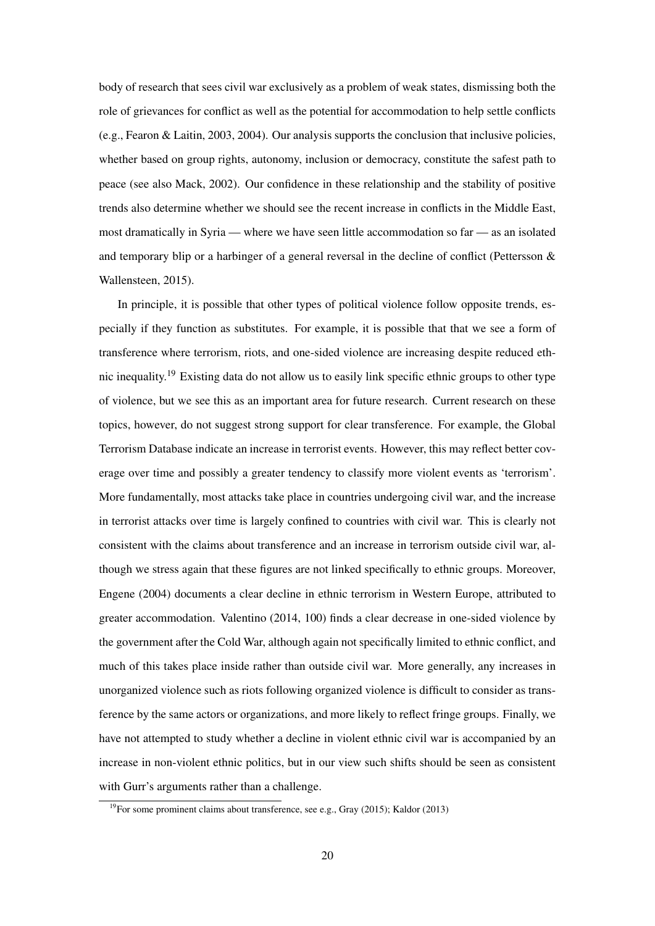body of research that sees civil war exclusively as a problem of weak states, dismissing both the role of grievances for conflict as well as the potential for accommodation to help settle conflicts (e.g., Fearon & Laitin, 2003, 2004). Our analysis supports the conclusion that inclusive policies, whether based on group rights, autonomy, inclusion or democracy, constitute the safest path to peace (see also Mack, 2002). Our confidence in these relationship and the stability of positive trends also determine whether we should see the recent increase in conflicts in the Middle East, most dramatically in Syria — where we have seen little accommodation so far — as an isolated and temporary blip or a harbinger of a general reversal in the decline of conflict (Pettersson  $\&$ Wallensteen, 2015).

In principle, it is possible that other types of political violence follow opposite trends, especially if they function as substitutes. For example, it is possible that that we see a form of transference where terrorism, riots, and one-sided violence are increasing despite reduced ethnic inequality.<sup>19</sup> Existing data do not allow us to easily link specific ethnic groups to other type of violence, but we see this as an important area for future research. Current research on these topics, however, do not suggest strong support for clear transference. For example, the Global Terrorism Database indicate an increase in terrorist events. However, this may reflect better coverage over time and possibly a greater tendency to classify more violent events as 'terrorism'. More fundamentally, most attacks take place in countries undergoing civil war, and the increase in terrorist attacks over time is largely confined to countries with civil war. This is clearly not consistent with the claims about transference and an increase in terrorism outside civil war, although we stress again that these figures are not linked specifically to ethnic groups. Moreover, Engene (2004) documents a clear decline in ethnic terrorism in Western Europe, attributed to greater accommodation. Valentino (2014, 100) finds a clear decrease in one-sided violence by the government after the Cold War, although again not specifically limited to ethnic conflict, and much of this takes place inside rather than outside civil war. More generally, any increases in unorganized violence such as riots following organized violence is difficult to consider as transference by the same actors or organizations, and more likely to reflect fringe groups. Finally, we have not attempted to study whether a decline in violent ethnic civil war is accompanied by an increase in non-violent ethnic politics, but in our view such shifts should be seen as consistent with Gurr's arguments rather than a challenge.

 $19$ For some prominent claims about transference, see e.g., Gray (2015); Kaldor (2013)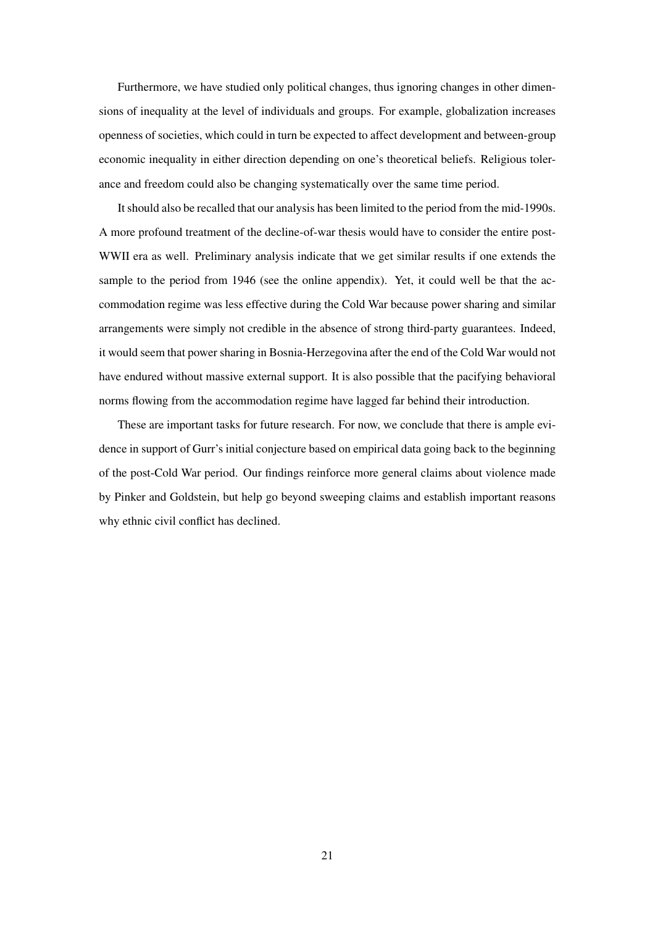Furthermore, we have studied only political changes, thus ignoring changes in other dimensions of inequality at the level of individuals and groups. For example, globalization increases openness of societies, which could in turn be expected to affect development and between-group economic inequality in either direction depending on one's theoretical beliefs. Religious tolerance and freedom could also be changing systematically over the same time period.

It should also be recalled that our analysis has been limited to the period from the mid-1990s. A more profound treatment of the decline-of-war thesis would have to consider the entire post-WWII era as well. Preliminary analysis indicate that we get similar results if one extends the sample to the period from 1946 (see the online appendix). Yet, it could well be that the accommodation regime was less effective during the Cold War because power sharing and similar arrangements were simply not credible in the absence of strong third-party guarantees. Indeed, it would seem that power sharing in Bosnia-Herzegovina after the end of the Cold War would not have endured without massive external support. It is also possible that the pacifying behavioral norms flowing from the accommodation regime have lagged far behind their introduction.

These are important tasks for future research. For now, we conclude that there is ample evidence in support of Gurr's initial conjecture based on empirical data going back to the beginning of the post-Cold War period. Our findings reinforce more general claims about violence made by Pinker and Goldstein, but help go beyond sweeping claims and establish important reasons why ethnic civil conflict has declined.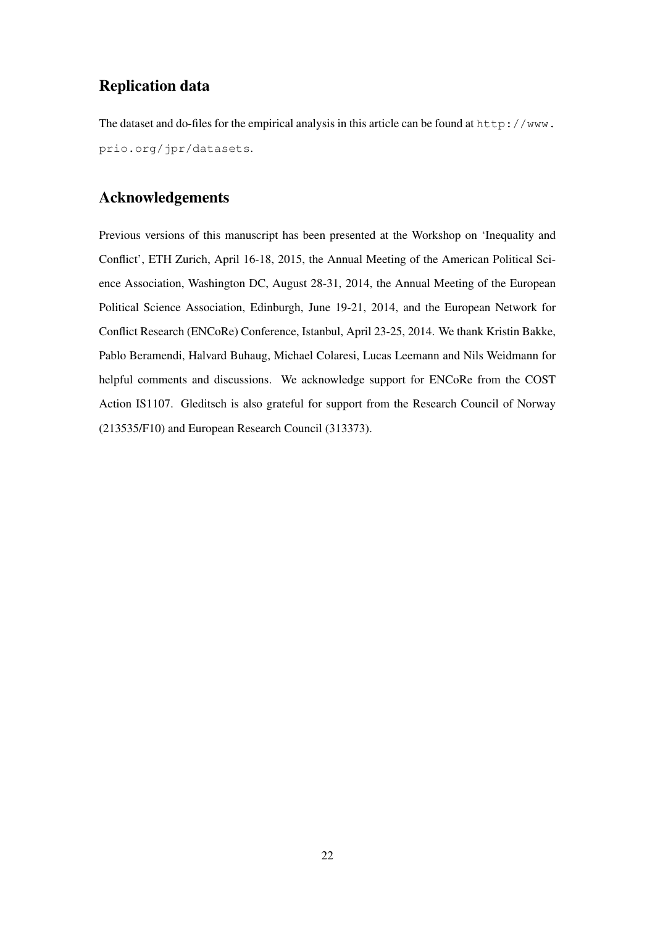# Replication data

The dataset and do-files for the empirical analysis in this article can be found at http://www. prio.org/jpr/datasets.

# Acknowledgements

Previous versions of this manuscript has been presented at the Workshop on 'Inequality and Conflict', ETH Zurich, April 16-18, 2015, the Annual Meeting of the American Political Science Association, Washington DC, August 28-31, 2014, the Annual Meeting of the European Political Science Association, Edinburgh, June 19-21, 2014, and the European Network for Conflict Research (ENCoRe) Conference, Istanbul, April 23-25, 2014. We thank Kristin Bakke, Pablo Beramendi, Halvard Buhaug, Michael Colaresi, Lucas Leemann and Nils Weidmann for helpful comments and discussions. We acknowledge support for ENCoRe from the COST Action IS1107. Gleditsch is also grateful for support from the Research Council of Norway (213535/F10) and European Research Council (313373).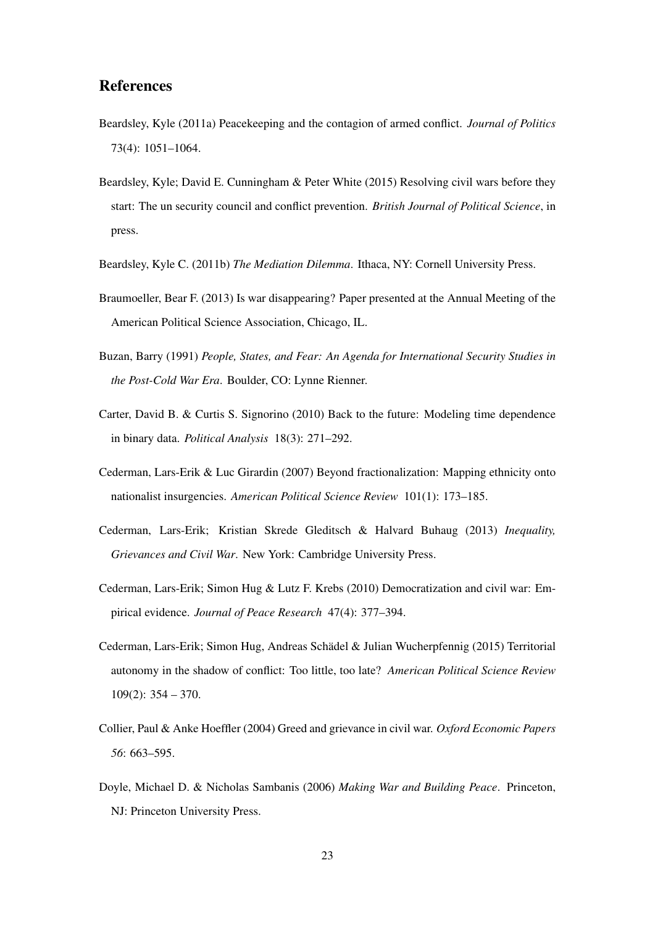# References

- Beardsley, Kyle (2011a) Peacekeeping and the contagion of armed conflict. *Journal of Politics* 73(4): 1051–1064.
- Beardsley, Kyle; David E. Cunningham & Peter White (2015) Resolving civil wars before they start: The un security council and conflict prevention. *British Journal of Political Science*, in press.
- Beardsley, Kyle C. (2011b) *The Mediation Dilemma*. Ithaca, NY: Cornell University Press.
- Braumoeller, Bear F. (2013) Is war disappearing? Paper presented at the Annual Meeting of the American Political Science Association, Chicago, IL.
- Buzan, Barry (1991) *People, States, and Fear: An Agenda for International Security Studies in the Post-Cold War Era*. Boulder, CO: Lynne Rienner.
- Carter, David B. & Curtis S. Signorino (2010) Back to the future: Modeling time dependence in binary data. *Political Analysis* 18(3): 271–292.
- Cederman, Lars-Erik & Luc Girardin (2007) Beyond fractionalization: Mapping ethnicity onto nationalist insurgencies. *American Political Science Review* 101(1): 173–185.
- Cederman, Lars-Erik; Kristian Skrede Gleditsch & Halvard Buhaug (2013) *Inequality, Grievances and Civil War*. New York: Cambridge University Press.
- Cederman, Lars-Erik; Simon Hug & Lutz F. Krebs (2010) Democratization and civil war: Empirical evidence. *Journal of Peace Research* 47(4): 377–394.
- Cederman, Lars-Erik; Simon Hug, Andreas Schadel & Julian Wucherpfennig (2015) Territorial ¨ autonomy in the shadow of conflict: Too little, too late? *American Political Science Review*  $109(2)$ : 354 – 370.
- Collier, Paul & Anke Hoeffler (2004) Greed and grievance in civil war. *Oxford Economic Papers 56*: 663–595.
- Doyle, Michael D. & Nicholas Sambanis (2006) *Making War and Building Peace*. Princeton, NJ: Princeton University Press.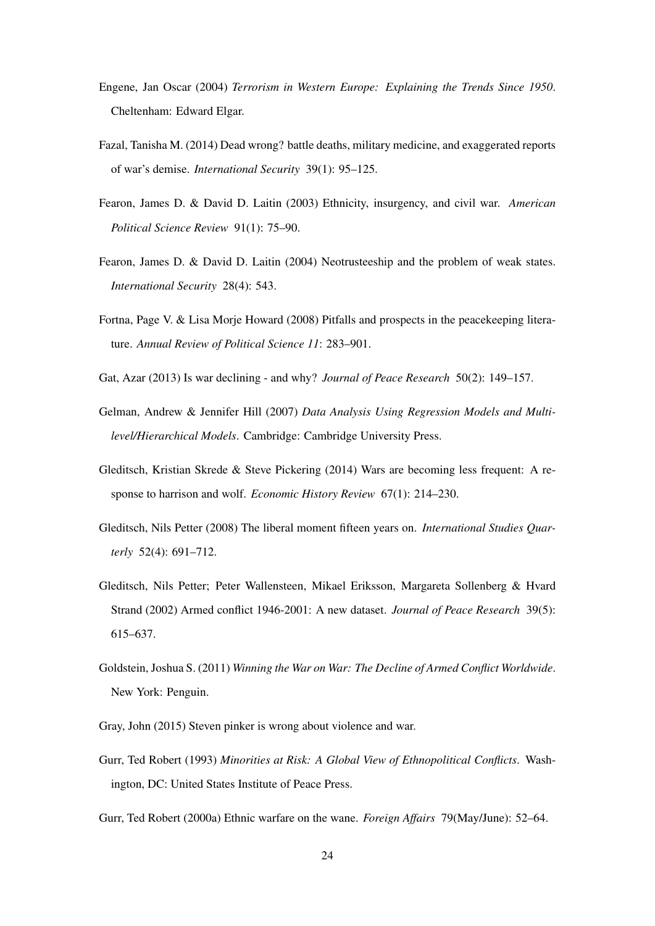- Engene, Jan Oscar (2004) *Terrorism in Western Europe: Explaining the Trends Since 1950*. Cheltenham: Edward Elgar.
- Fazal, Tanisha M. (2014) Dead wrong? battle deaths, military medicine, and exaggerated reports of war's demise. *International Security* 39(1): 95–125.
- Fearon, James D. & David D. Laitin (2003) Ethnicity, insurgency, and civil war. *American Political Science Review* 91(1): 75–90.
- Fearon, James D. & David D. Laitin (2004) Neotrusteeship and the problem of weak states. *International Security* 28(4): 543.
- Fortna, Page V. & Lisa Morje Howard (2008) Pitfalls and prospects in the peacekeeping literature. *Annual Review of Political Science 11*: 283–901.
- Gat, Azar (2013) Is war declining and why? *Journal of Peace Research* 50(2): 149–157.
- Gelman, Andrew & Jennifer Hill (2007) *Data Analysis Using Regression Models and Multilevel/Hierarchical Models*. Cambridge: Cambridge University Press.
- Gleditsch, Kristian Skrede & Steve Pickering (2014) Wars are becoming less frequent: A response to harrison and wolf. *Economic History Review* 67(1): 214–230.
- Gleditsch, Nils Petter (2008) The liberal moment fifteen years on. *International Studies Quarterly* 52(4): 691–712.
- Gleditsch, Nils Petter; Peter Wallensteen, Mikael Eriksson, Margareta Sollenberg & Hvard Strand (2002) Armed conflict 1946-2001: A new dataset. *Journal of Peace Research* 39(5): 615–637.
- Goldstein, Joshua S. (2011) *Winning the War on War: The Decline of Armed Conflict Worldwide*. New York: Penguin.
- Gray, John (2015) Steven pinker is wrong about violence and war.
- Gurr, Ted Robert (1993) *Minorities at Risk: A Global View of Ethnopolitical Conflicts*. Washington, DC: United States Institute of Peace Press.

Gurr, Ted Robert (2000a) Ethnic warfare on the wane. *Foreign Affairs* 79(May/June): 52–64.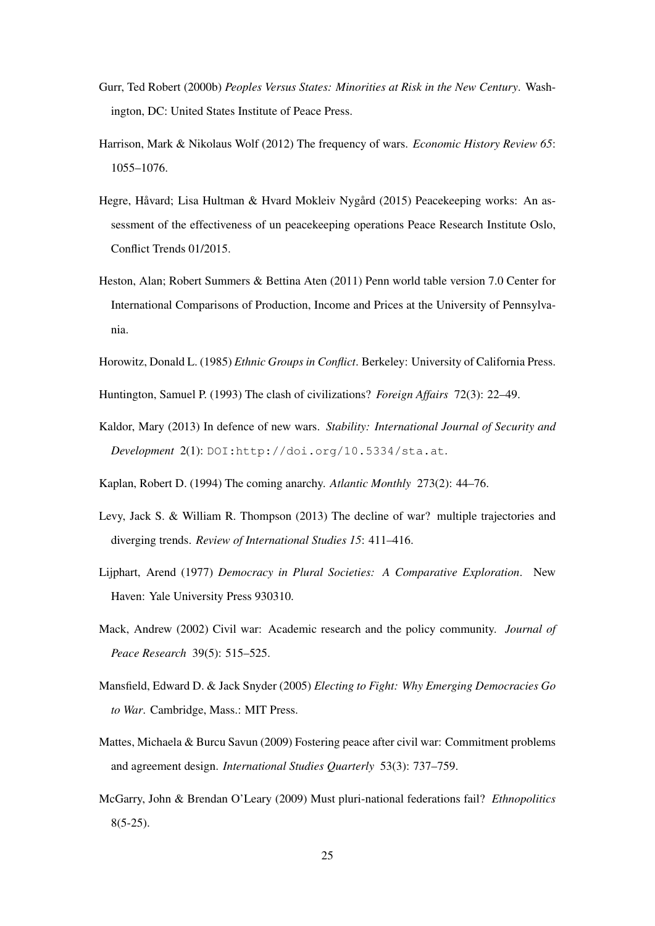- Gurr, Ted Robert (2000b) *Peoples Versus States: Minorities at Risk in the New Century*. Washington, DC: United States Institute of Peace Press.
- Harrison, Mark & Nikolaus Wolf (2012) The frequency of wars. *Economic History Review 65*: 1055–1076.
- Hegre, Håvard; Lisa Hultman & Hvard Mokleiv Nygård (2015) Peacekeeping works: An assessment of the effectiveness of un peacekeeping operations Peace Research Institute Oslo, Conflict Trends 01/2015.
- Heston, Alan; Robert Summers & Bettina Aten (2011) Penn world table version 7.0 Center for International Comparisons of Production, Income and Prices at the University of Pennsylvania.
- Horowitz, Donald L. (1985) *Ethnic Groups in Conflict*. Berkeley: University of California Press.
- Huntington, Samuel P. (1993) The clash of civilizations? *Foreign Affairs* 72(3): 22–49.
- Kaldor, Mary (2013) In defence of new wars. *Stability: International Journal of Security and Development* 2(1): DOI:http://doi.org/10.5334/sta.at.
- Kaplan, Robert D. (1994) The coming anarchy. *Atlantic Monthly* 273(2): 44–76.
- Levy, Jack S. & William R. Thompson (2013) The decline of war? multiple trajectories and diverging trends. *Review of International Studies 15*: 411–416.
- Lijphart, Arend (1977) *Democracy in Plural Societies: A Comparative Exploration*. New Haven: Yale University Press 930310.
- Mack, Andrew (2002) Civil war: Academic research and the policy community. *Journal of Peace Research* 39(5): 515–525.
- Mansfield, Edward D. & Jack Snyder (2005) *Electing to Fight: Why Emerging Democracies Go to War*. Cambridge, Mass.: MIT Press.
- Mattes, Michaela & Burcu Savun (2009) Fostering peace after civil war: Commitment problems and agreement design. *International Studies Quarterly* 53(3): 737–759.
- McGarry, John & Brendan O'Leary (2009) Must pluri-national federations fail? *Ethnopolitics* 8(5-25).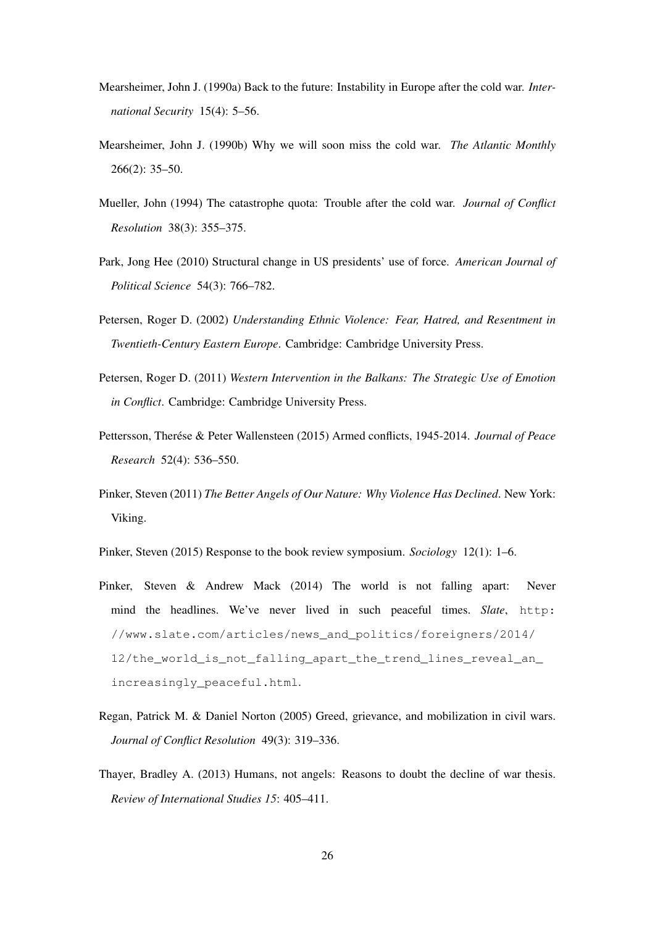- Mearsheimer, John J. (1990a) Back to the future: Instability in Europe after the cold war. *International Security* 15(4): 5–56.
- Mearsheimer, John J. (1990b) Why we will soon miss the cold war. *The Atlantic Monthly* 266(2): 35–50.
- Mueller, John (1994) The catastrophe quota: Trouble after the cold war. *Journal of Conflict Resolution* 38(3): 355–375.
- Park, Jong Hee (2010) Structural change in US presidents' use of force. *American Journal of Political Science* 54(3): 766–782.
- Petersen, Roger D. (2002) *Understanding Ethnic Violence: Fear, Hatred, and Resentment in Twentieth-Century Eastern Europe*. Cambridge: Cambridge University Press.
- Petersen, Roger D. (2011) *Western Intervention in the Balkans: The Strategic Use of Emotion in Conflict*. Cambridge: Cambridge University Press.
- Pettersson, Therése & Peter Wallensteen (2015) Armed conflicts, 1945-2014. *Journal of Peace Research* 52(4): 536–550.
- Pinker, Steven (2011) *The Better Angels of Our Nature: Why Violence Has Declined*. New York: Viking.
- Pinker, Steven (2015) Response to the book review symposium. *Sociology* 12(1): 1–6.
- Pinker, Steven & Andrew Mack (2014) The world is not falling apart: Never mind the headlines. We've never lived in such peaceful times. *Slate*, http: //www.slate.com/articles/news\_and\_politics/foreigners/2014/ 12/the\_world\_is\_not\_falling\_apart\_the\_trend\_lines\_reveal\_an\_ increasingly\_peaceful.html.
- Regan, Patrick M. & Daniel Norton (2005) Greed, grievance, and mobilization in civil wars. *Journal of Conflict Resolution* 49(3): 319–336.
- Thayer, Bradley A. (2013) Humans, not angels: Reasons to doubt the decline of war thesis. *Review of International Studies 15*: 405–411.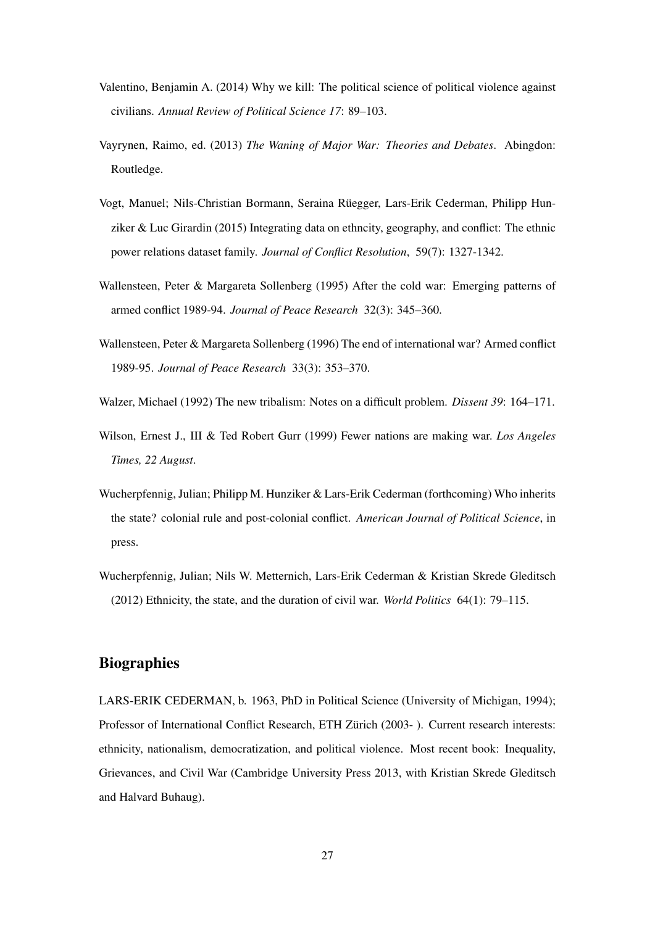- Valentino, Benjamin A. (2014) Why we kill: The political science of political violence against civilians. *Annual Review of Political Science 17*: 89–103.
- Vayrynen, Raimo, ed. (2013) *The Waning of Major War: Theories and Debates*. Abingdon: Routledge.
- Vogt, Manuel; Nils-Christian Bormann, Seraina Ruegger, Lars-Erik Cederman, Philipp Hun- ¨ ziker & Luc Girardin (2015) Integrating data on ethncity, geography, and conflict: The ethnic power relations dataset family. *Journal of Conflict Resolution*, 59(7): 1327-1342.
- Wallensteen, Peter & Margareta Sollenberg (1995) After the cold war: Emerging patterns of armed conflict 1989-94. *Journal of Peace Research* 32(3): 345–360.
- Wallensteen, Peter & Margareta Sollenberg (1996) The end of international war? Armed conflict 1989-95. *Journal of Peace Research* 33(3): 353–370.
- Walzer, Michael (1992) The new tribalism: Notes on a difficult problem. *Dissent 39*: 164–171.
- Wilson, Ernest J., III & Ted Robert Gurr (1999) Fewer nations are making war. *Los Angeles Times, 22 August*.
- Wucherpfennig, Julian; Philipp M. Hunziker & Lars-Erik Cederman (forthcoming) Who inherits the state? colonial rule and post-colonial conflict. *American Journal of Political Science*, in press.
- Wucherpfennig, Julian; Nils W. Metternich, Lars-Erik Cederman & Kristian Skrede Gleditsch (2012) Ethnicity, the state, and the duration of civil war. *World Politics* 64(1): 79–115.

# **Biographies**

LARS-ERIK CEDERMAN, b. 1963, PhD in Political Science (University of Michigan, 1994); Professor of International Conflict Research, ETH Zurich (2003- ). Current research interests: ¨ ethnicity, nationalism, democratization, and political violence. Most recent book: Inequality, Grievances, and Civil War (Cambridge University Press 2013, with Kristian Skrede Gleditsch and Halvard Buhaug).